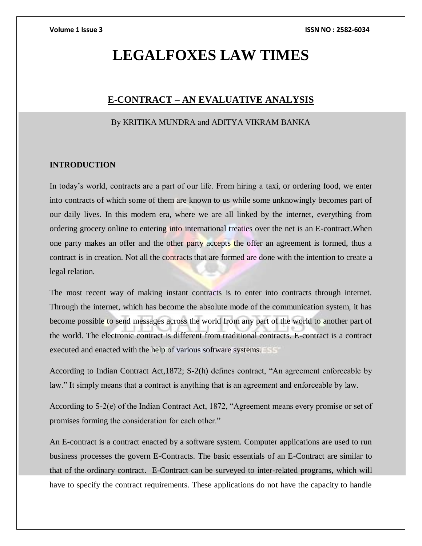# **LEGALFOXES LAW TIMES**

## **E-CONTRACT – AN EVALUATIVE ANALYSIS**

### By KRITIKA MUNDRA and ADITYA VIKRAM BANKA

### **INTRODUCTION**

In today's world, contracts are a part of our life. From hiring a taxi, or ordering food, we enter into contracts of which some of them are known to us while some unknowingly becomes part of our daily lives. In this modern era, where we are all linked by the internet, everything from ordering grocery online to entering into international treaties over the net is an E-contract.When one party makes an offer and the other party accepts the offer an agreement is formed, thus a contract is in creation. Not all the contracts that are formed are done with the intention to create a legal relation.

The most recent way of making instant contracts is to enter into contracts through internet. Through the internet, which has become the absolute mode of the communication system, it has become possible to send messages across the world from any part of the world to another part of the world. The electronic contract is different from traditional contracts. E-contract is a contract executed and enacted with the help of various software systems.

According to Indian Contract Act,1872; S-2(h) defines contract, "An agreement enforceable by law." It simply means that a contract is anything that is an agreement and enforceable by law.

According to S-2(e) of the Indian Contract Act, 1872, "Agreement means every promise or set of promises forming the consideration for each other."

An E-contract is a contract enacted by a software system. Computer applications are used to run business processes the govern E-Contracts. The basic essentials of an E-Contract are similar to that of the ordinary contract. E-Contract can be surveyed to inter-related programs, which will have to specify the contract requirements. These applications do not have the capacity to handle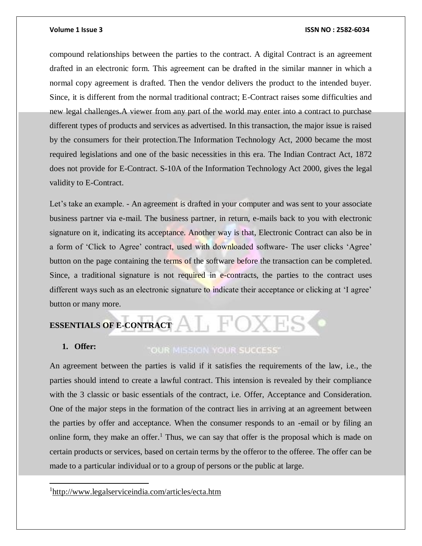compound relationships between the parties to the contract. A digital Contract is an agreement drafted in an electronic form. This agreement can be drafted in the similar manner in which a normal copy agreement is drafted. Then the vendor delivers the product to the intended buyer. Since, it is different from the normal traditional contract; E-Contract raises some difficulties and new legal challenges.A viewer from any part of the world may enter into a contract to purchase different types of products and services as advertised. In this transaction, the major issue is raised by the consumers for their protection.The Information Technology Act, 2000 became the most required legislations and one of the basic necessities in this era. The Indian Contract Act, 1872 does not provide for E-Contract. S-10A of the Information Technology Act 2000, gives the legal validity to E-Contract.

Let's take an example. - An agreement is drafted in your computer and was sent to your associate business partner via e-mail. The business partner, in return, e-mails back to you with electronic signature on it, indicating its acceptance. Another way is that, Electronic Contract can also be in a form of 'Click to Agree' contract, used with downloaded software- The user clicks 'Agree' button on the page containing the terms of the software before the transaction can be completed. Since, a traditional signature is not required in e-contracts, the parties to the contract uses different ways such as an electronic signature to indicate their acceptance or clicking at 'I agree' button or many more.

# **ESSENTIALS OF E-CONTRACT**

### **1. Offer:**

 $\overline{\phantom{a}}$ 

### "OUR MISSION YOUR SUCCESS"

An agreement between the parties is valid if it satisfies the requirements of the law, i.e., the parties should intend to create a lawful contract. This intension is revealed by their compliance with the 3 classic or basic essentials of the contract, i.e. Offer, Acceptance and Consideration. One of the major steps in the formation of the contract lies in arriving at an agreement between the parties by offer and acceptance. When the consumer responds to an -email or by filing an online form, they make an offer.<sup>1</sup> Thus, we can say that offer is the proposal which is made on certain products or services, based on certain terms by the offeror to the offeree. The offer can be made to a particular individual or to a group of persons or the public at large.

<sup>1</sup><http://www.legalserviceindia.com/articles/ecta.htm>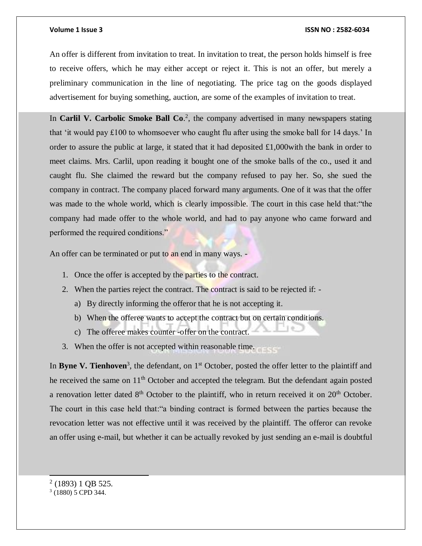An offer is different from invitation to treat. In invitation to treat, the person holds himself is free to receive offers, which he may either accept or reject it. This is not an offer, but merely a preliminary communication in the line of negotiating. The price tag on the goods displayed advertisement for buying something, auction, are some of the examples of invitation to treat.

In **Carlil V. Carbolic Smoke Ball Co.**<sup>2</sup>, the company advertised in many newspapers stating that 'it would pay  $\pounds$ 100 to whomsoever who caught flu after using the smoke ball for 14 days.' In order to assure the public at large, it stated that it had deposited £1,000with the bank in order to meet claims. Mrs. Carlil, upon reading it bought one of the smoke balls of the co., used it and caught flu. She claimed the reward but the company refused to pay her. So, she sued the company in contract. The company placed forward many arguments. One of it was that the offer was made to the whole world, which is clearly impossible. The court in this case held that:"the company had made offer to the whole world, and had to pay anyone who came forward and performed the required conditions."

An offer can be terminated or put to an end in many ways. -

- 1. Once the offer is accepted by the parties to the contract.
- 2. When the parties reject the contract. The contract is said to be rejected if:
	- a) By directly informing the offeror that he is not accepting it.
	- b) When the offeree wants to accept the contract but on certain conditions.
	- c) The offeree makes counter -offer on the contract.
- 3. When the offer is not accepted within reasonable time.

In **Byne V. Tienhoven**<sup>3</sup>, the defendant, on 1<sup>st</sup> October, posted the offer letter to the plaintiff and he received the same on 11<sup>th</sup> October and accepted the telegram. But the defendant again posted a renovation letter dated  $8<sup>th</sup>$  October to the plaintiff, who in return received it on  $20<sup>th</sup>$  October. The court in this case held that:"a binding contract is formed between the parties because the revocation letter was not effective until it was received by the plaintiff. The offeror can revoke an offer using e-mail, but whether it can be actually revoked by just sending an e-mail is doubtful

 $2(1893) 1$  QB 525.

<sup>3</sup> (1880) 5 CPD 344.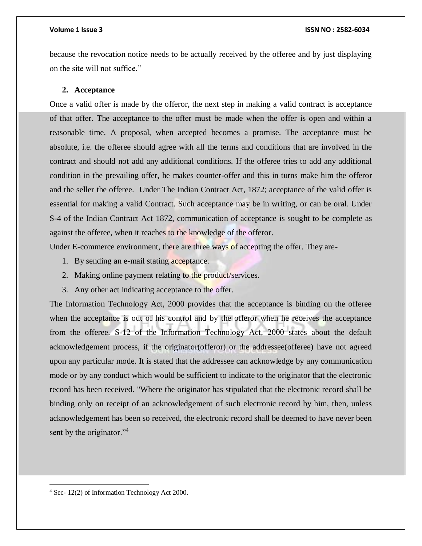because the revocation notice needs to be actually received by the offeree and by just displaying on the site will not suffice."

### **2. Acceptance**

Once a valid offer is made by the offeror, the next step in making a valid contract is acceptance of that offer. The acceptance to the offer must be made when the offer is open and within a reasonable time. A proposal, when accepted becomes a promise. The acceptance must be absolute, i.e. the offeree should agree with all the terms and conditions that are involved in the contract and should not add any additional conditions. If the offeree tries to add any additional condition in the prevailing offer, he makes counter-offer and this in turns make him the offeror and the seller the offeree. Under The Indian Contract Act, 1872; acceptance of the valid offer is essential for making a valid Contract. Such acceptance may be in writing, or can be oral. Under S-4 of the Indian Contract Act 1872, communication of acceptance is sought to be complete as against the offeree, when it reaches to the knowledge of the offeror.

Under E-commerce environment, there are three ways of accepting the offer. They are-

- 1. By sending an e-mail stating acceptance.
- 2. Making online payment relating to the product/services.
- 3. Any other act indicating acceptance to the offer.

The Information Technology Act, 2000 provides that the acceptance is binding on the offeree when the acceptance is out of his control and by the offeror when he receives the acceptance from the offeree. S-12 of the Information Technology Act, 2000 states about the default acknowledgement process, if the originator(offeror) or the addressee(offeree) have not agreed upon any particular mode. It is stated that the addressee can acknowledge by any communication mode or by any conduct which would be sufficient to indicate to the originator that the electronic record has been received. "Where the originator has stipulated that the electronic record shall be binding only on receipt of an acknowledgement of such electronic record by him, then, unless acknowledgement has been so received, the electronic record shall be deemed to have never been sent by the originator."<sup>4</sup>

<sup>4</sup> Sec- 12(2) of Information Technology Act 2000.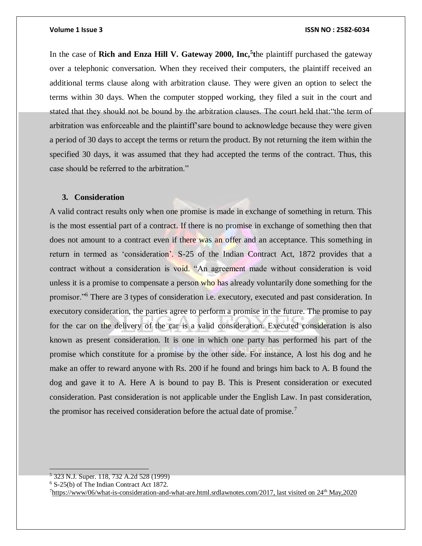In the case of **Rich and Enza Hill V. Gateway 2000, Inc,<sup>5</sup> t**he plaintiff purchased the gateway over a telephonic conversation. When they received their computers, the plaintiff received an additional terms clause along with arbitration clause. They were given an option to select the terms within 30 days. When the computer stopped working, they filed a suit in the court and stated that they should not be bound by the arbitration clauses. The court held that:"the term of arbitration was enforceable and the plaintiff'sare bound to acknowledge because they were given a period of 30 days to accept the terms or return the product. By not returning the item within the specified 30 days, it was assumed that they had accepted the terms of the contract. Thus, this case should be referred to the arbitration."

### **3. Consideration**

A valid contract results only when one promise is made in exchange of something in return. This is the most essential part of a contract. If there is no promise in exchange of something then that does not amount to a contract even if there was an offer and an acceptance. This something in return in termed as 'consideration'. S-25 of the Indian Contract Act, 1872 provides that a contract without a consideration is void. "An agreement made without consideration is void unless it is a promise to compensate a person who has already voluntarily done something for the promisor."<sup>6</sup> There are 3 types of consideration i.e. executory, executed and past consideration. In executory consideration, the parties agree to perform a promise in the future. The promise to pay for the car on the delivery of the car is a valid consideration. Executed consideration is also known as present consideration. It is one in which one party has performed his part of the promise which constitute for a promise by the other side. For instance, A lost his dog and he make an offer to reward anyone with Rs. 200 if he found and brings him back to A. B found the dog and gave it to A. Here A is bound to pay B. This is Present consideration or executed consideration. Past consideration is not applicable under the English Law. In past consideration, the promisor has received consideration before the actual date of promise.<sup>7</sup>

<sup>5</sup> 323 N.J. Super. 118, 732 A.2d 528 (1999)

<sup>6</sup> S-25(b) of The Indian Contract Act 1872.

 $<sup>7</sup>$ [https://www/06/what-is-consideration-and-what-are.html.srdlawnotes.com/2017,](https://www.srdlawnotes.com/2017/06/what-is-consideration-and-what-are.html) last visited on  $24<sup>th</sup>$  May,2020</sup>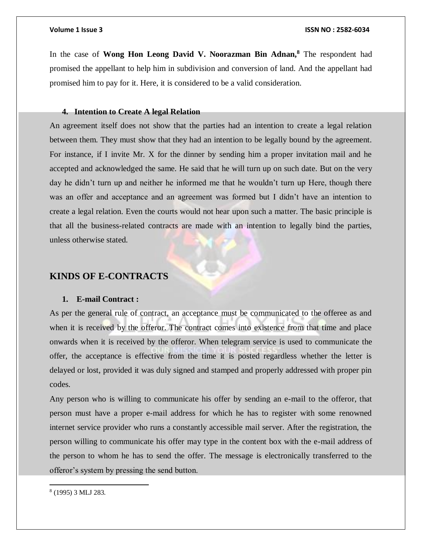In the case of **Wong Hon Leong David V. Noorazman Bin Adnan,<sup>8</sup>** The respondent had promised the appellant to help him in subdivision and conversion of land. And the appellant had promised him to pay for it. Here, it is considered to be a valid consideration.

### **4. Intention to Create A legal Relation**

An agreement itself does not show that the parties had an intention to create a legal relation between them. They must show that they had an intention to be legally bound by the agreement. For instance, if I invite Mr. X for the dinner by sending him a proper invitation mail and he accepted and acknowledged the same. He said that he will turn up on such date. But on the very day he didn't turn up and neither he informed me that he wouldn't turn up Here, though there was an offer and acceptance and an agreement was formed but I didn't have an intention to create a legal relation. Even the courts would not hear upon such a matter. The basic principle is that all the business-related contracts are made with an intention to legally bind the parties, unless otherwise stated.

### **KINDS OF E-CONTRACTS**

### **1. E-mail Contract :**

As per the general rule of contract, an acceptance must be communicated to the offeree as and when it is received by the offeror. The contract comes into existence from that time and place onwards when it is received by the offeror. When telegram service is used to communicate the offer, the acceptance is effective from the time it is posted regardless whether the letter is delayed or lost, provided it was duly signed and stamped and properly addressed with proper pin codes.

Any person who is willing to communicate his offer by sending an e-mail to the offeror, that person must have a proper e-mail address for which he has to register with some renowned internet service provider who runs a constantly accessible mail server. After the registration, the person willing to communicate his offer may type in the content box with the e-mail address of the person to whom he has to send the offer. The message is electronically transferred to the offeror's system by pressing the send button.

<sup>8</sup> (1995) 3 MLJ 283.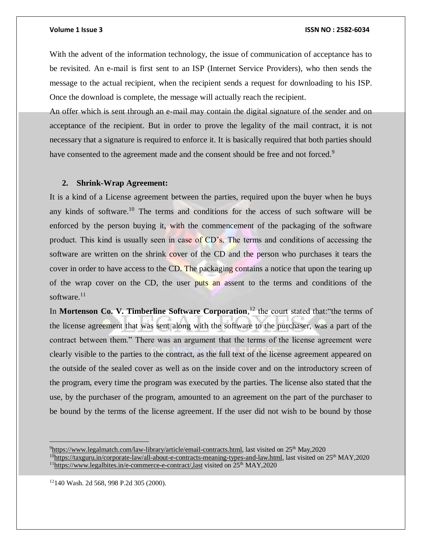With the advent of the information technology, the issue of communication of acceptance has to be revisited. An e-mail is first sent to an ISP (Internet Service Providers), who then sends the message to the actual recipient, when the recipient sends a request for downloading to his ISP. Once the download is complete, the message will actually reach the recipient.

An offer which is sent through an e-mail may contain the digital signature of the sender and on acceptance of the recipient. But in order to prove the legality of the mail contract, it is not necessary that a signature is required to enforce it. It is basically required that both parties should have consented to the agreement made and the consent should be free and not forced.<sup>9</sup>

### **2. Shrink-Wrap Agreement:**

It is a kind of a License agreement between the parties, required upon the buyer when he buys any kinds of software.<sup>10</sup> The terms and conditions for the access of such software will be enforced by the person buying it, with the commencement of the packaging of the software product. This kind is usually seen in case of CD's. The terms and conditions of accessing the software are written on the shrink cover of the CD and the person who purchases it tears the cover in order to have access to the CD. The packaging contains a notice that upon the tearing up of the wrap cover on the CD, the user puts an assent to the terms and conditions of the software. $11$ 

In Mortenson Co. V. Timberline Software Corporation,<sup>12</sup> the court stated that: "the terms of the license agreement that was sent along with the software to the purchaser, was a part of the contract between them." There was an argument that the terms of the license agreement were clearly visible to the parties to the contract, as the full text of the license agreement appeared on the outside of the sealed cover as well as on the inside cover and on the introductory screen of the program, every time the program was executed by the parties. The license also stated that the use, by the purchaser of the program, amounted to an agreement on the part of the purchaser to be bound by the terms of the license agreement. If the user did not wish to be bound by those

12140 Wash. 2d 568, 998 P.2d 305 (2000).

 $9$ [https://www.legalmatch.com/law-library/article/email-contracts.html,](https://www.legalmatch.com/law-library/article/email-contracts.html) last visited on  $25<sup>th</sup>$  May,2020

<sup>10</sup>[https://taxguru.in/corporate-law/all-about-e-contracts-meaning-types-and-law.html,](https://taxguru.in/corporate-law/all-about-e-contracts-meaning-types-and-law.html) last visited on 25th MAY,2020  $11$ <https://www.legalbites.in/e-commerce-e-contract/,last> visited on  $25<sup>th</sup>$  MAY,2020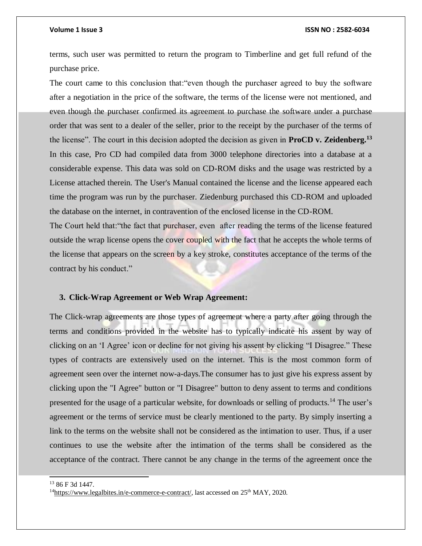terms, such user was permitted to return the program to Timberline and get full refund of the purchase price.

The court came to this conclusion that:"even though the purchaser agreed to buy the software after a negotiation in the price of the software, the terms of the license were not mentioned, and even though the purchaser confirmed its agreement to purchase the software under a purchase order that was sent to a dealer of the seller, prior to the receipt by the purchaser of the terms of the license". The court in this decision adopted the decision as given in **ProCD v. Zeidenberg.<sup>13</sup>** In this case, Pro CD had compiled data from 3000 telephone directories into a database at a considerable expense. This data was sold on CD-ROM disks and the usage was restricted by a License attached therein. The User's Manual contained the license and the license appeared each time the program was run by the purchaser. Ziedenburg purchased this CD-ROM and uploaded the database on the internet, in contravention of the enclosed license in the CD-ROM.

The Court held that:"the fact that purchaser, even after reading the terms of the license featured outside the wrap license opens the cover coupled with the fact that he accepts the whole terms of the license that appears on the screen by a key stroke, constitutes acceptance of the terms of the contract by his conduct."

### **3. Click-Wrap Agreement or Web Wrap Agreement:**

The Click-wrap agreements are those types of agreement where a party after going through the terms and conditions provided in the website has to typically indicate his assent by way of clicking on an 'I Agree' icon or decline for not giving his assent by clicking "I Disagree." These types of contracts are extensively used on the internet. This is the most common form of agreement seen over the internet now-a-days.The consumer has to just give his express assent by clicking upon the "I Agree" button or "I Disagree" button to deny assent to terms and conditions presented for the usage of a particular website, for downloads or selling of products.<sup>14</sup> The user's agreement or the terms of service must be clearly mentioned to the party. By simply inserting a link to the terms on the website shall not be considered as the intimation to user. Thus, if a user continues to use the website after the intimation of the terms shall be considered as the acceptance of the contract. There cannot be any change in the terms of the agreement once the

l

<sup>13</sup> 86 F 3d 1447.

 $14$ [https://www.legalbites.in/e-commerce-e-contract/,](https://www.legalbites.in/e-commerce-e-contract/) last accessed on  $25<sup>th</sup>$  MAY, 2020.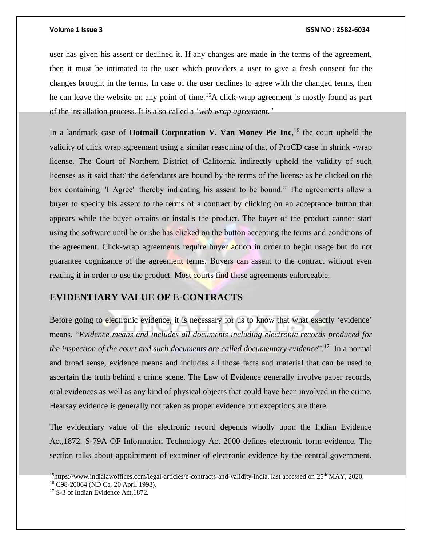user has given his assent or declined it. If any changes are made in the terms of the agreement, then it must be intimated to the user which providers a user to give a fresh consent for the changes brought in the terms. In case of the user declines to agree with the changed terms, then he can leave the website on any point of time.<sup>15</sup>A click-wrap agreement is mostly found as part of the installation process. It is also called a '*web wrap agreement.'*

In a landmark case of **Hotmail Corporation V. Van Money Pie Inc**, <sup>16</sup> the court upheld the validity of click wrap agreement using a similar reasoning of that of ProCD case in shrink -wrap license. The Court of Northern District of California indirectly upheld the validity of such licenses as it said that:"the defendants are bound by the terms of the license as he clicked on the box containing "I Agree" thereby indicating his assent to be bound." The agreements allow a buyer to specify his assent to the terms of a contract by clicking on an acceptance button that appears while the buyer obtains or installs the product. The buyer of the product cannot start using the software until he or she has clicked on the button accepting the terms and conditions of the agreement. Click-wrap agreements require buyer action in order to begin usage but do not guarantee cognizance of the agreement terms. Buyers can assent to the contract without even reading it in order to use the product. Most courts find these agreements enforceable.

### **EVIDENTIARY VALUE OF E-CONTRACTS**

Before going to electronic evidence, it is necessary for us to know that what exactly 'evidence' means. "*Evidence means and includes all documents including electronic records produced for the inspection of the court and such documents are called documentary evidence*".<sup>17</sup> In a normal and broad sense, evidence means and includes all those facts and material that can be used to ascertain the truth behind a crime scene. The Law of Evidence generally involve paper records, oral evidences as well as any kind of physical objects that could have been involved in the crime. Hearsay evidence is generally not taken as proper evidence but exceptions are there.

The evidentiary value of the electronic record depends wholly upon the Indian Evidence Act,1872. S-79A OF Information Technology Act 2000 defines electronic form evidence. The section talks about appointment of examiner of electronic evidence by the central government.

 $15$ [https://www.indialawoffices.com/legal-articles/e-contracts-and-validity-india,](https://www.indialawoffices.com/legal-articles/e-contracts-and-validity-india) last accessed on  $25<sup>th</sup>$  MAY, 2020.

<sup>16</sup> C98-20064 (ND Ca, 20 April 1998).

<sup>&</sup>lt;sup>17</sup> S-3 of Indian Evidence Act, 1872.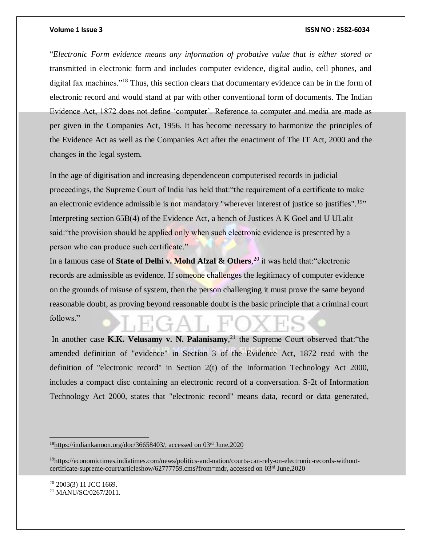"*Electronic Form evidence means any information of probative value that is either stored or*  transmitted in electronic form and includes computer evidence, digital audio, cell phones, and digital fax machines."<sup>18</sup> Thus, this section clears that documentary evidence can be in the form of electronic record and would stand at par with other conventional form of documents. The Indian Evidence Act, 1872 does not define 'computer'. Reference to computer and media are made as per given in the Companies Act, 1956. It has become necessary to harmonize the principles of the Evidence Act as well as the Companies Act after the enactment of The IT Act, 2000 and the changes in the legal system.

In the age of digitisation and increasing dependenceon computerised records in judicial proceedings, the Supreme Court of India has held that:"the requirement of a certificate to make an electronic evidence admissible is not mandatory "wherever interest of justice so justifies".<sup>19</sup>" Interpreting section 65B(4) of the Evidence Act, a bench of Justices A K Goel and U ULalit said:"the provision should be applied only when such electronic evidence is presented by a person who can produce such certificate."

In a famous case of **State of Delhi v. Mohd Afzal & Others**, <sup>20</sup> it was held that:"electronic records are admissible as evidence. If someone challenges the legitimacy of computer evidence on the grounds of misuse of system, then the person challenging it must prove the same beyond reasonable doubt, as proving beyond reasonable doubt is the basic principle that a criminal court follows."

In another case **K.K. Velusamy v. N. Palanisamy**, <sup>21</sup> the Supreme Court observed that:"the amended definition of "evidence" in Section 3 of the Evidence Act, 1872 read with the definition of "electronic record" in Section 2(t) of the Information Technology Act 2000, includes a compact disc containing an electronic record of a conversation. S-2t of Information Technology Act 2000, states that "electronic record" means data, record or data generated,

<sup>20</sup> 2003(3) 11 JCC 1669.

 $\overline{a}$ 

<sup>21</sup> MANU/SC/0267/2011.

 $18$ [https://indiankanoon.org/doc/36658403/,](https://indiankanoon.org/doc/36658403/) accessed on 03<sup>rd</sup> June,2020

<sup>&</sup>lt;sup>19</sup>[https://economictimes.indiatimes.com/news/politics-and-nation/courts-can-rely-on-electronic-records-without](https://economictimes.indiatimes.com/news/politics-and-nation/courts-can-rely-on-electronic-records-without-certificate-supreme-court/articleshow/62777759.cms?from=mdr)[certificate-supreme-court/articleshow/62777759.cms?from=mdr,](https://economictimes.indiatimes.com/news/politics-and-nation/courts-can-rely-on-electronic-records-without-certificate-supreme-court/articleshow/62777759.cms?from=mdr) accessed on 03rd June,2020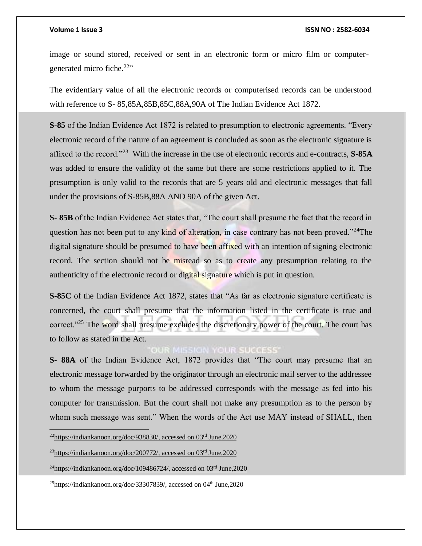image or sound stored, received or sent in an electronic form or micro film or computergenerated micro fiche.<sup>22</sup>"

The evidentiary value of all the electronic records or computerised records can be understood with reference to S- 85,85A,85B,85C,88A,90A of The Indian Evidence Act 1872.

**S-85** of the Indian Evidence Act 1872 is related to presumption to electronic agreements. "Every electronic record of the nature of an agreement is concluded as soon as the electronic signature is affixed to the record."<sup>23</sup> With the increase in the use of electronic records and e-contracts, **S-85A** was added to ensure the validity of the same but there are some restrictions applied to it. The presumption is only valid to the records that are 5 years old and electronic messages that fall under the provisions of S-85B,88A AND 90A of the given Act.

**S- 85B** of the Indian Evidence Act states that, "The court shall presume the fact that the record in question has not been put to any kind of alteration, in case contrary has not been proved."<sup>24</sup>The digital signature should be presumed to have been affixed with an intention of signing electronic record. The section should not be misread so as to create any presumption relating to the authenticity of the electronic record or digital signature which is put in question.

**S-85C** of the Indian Evidence Act 1872, states that "As far as electronic signature certificate is concerned, the court shall presume that the information listed in the certificate is true and correct."<sup>25</sup> The word shall presume excludes the discretionary power of the court. The court has to follow as stated in the Act.

### **OUR MISSION YOUR SUCCESS'**

**S- 88A** of the Indian Evidence Act, 1872 provides that "The court may presume that an electronic message forwarded by the originator through an electronic mail server to the addressee to whom the message purports to be addressed corresponds with the message as fed into his computer for transmission. But the court shall not make any presumption as to the person by whom such message was sent." When the words of the Act use MAY instead of SHALL, then

 $^{22}$ [https://indiankanoon.org/doc/938830/,](https://indiankanoon.org/doc/938830/) accessed on 03<sup>rd</sup> June,2020

 $^{23}$ [https://indiankanoon.org/doc/200772/,](https://indiankanoon.org/doc/200772/) accessed on 03<sup>rd</sup> June,2020

 $^{24}$ [https://indiankanoon.org/doc/109486724/,](https://indiankanoon.org/doc/109486724/) accessed on 03<sup>rd</sup> June,2020

 $^{25}$ [https://indiankanoon.org/doc/33307839/,](https://indiankanoon.org/doc/33307839/) accessed on 04<sup>th</sup> June,2020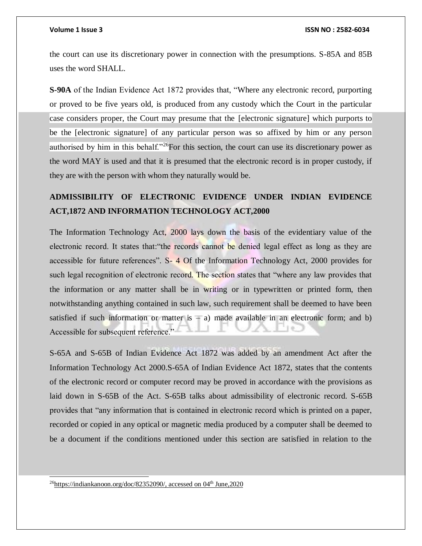the court can use its discretionary power in connection with the presumptions. S-85A and 85B uses the word SHALL.

**S-90A** of the Indian Evidence Act 1872 provides that, "Where any electronic record, purporting or proved to be five years old, is produced from any custody which the Court in the particular case considers proper, the Court may presume that the [electronic signature] which purports to be the [electronic signature] of any particular person was so affixed by him or any person authorised by him in this behalf."<sup>26</sup>For this section, the court can use its discretionary power as the word MAY is used and that it is presumed that the electronic record is in proper custody, if they are with the person with whom they naturally would be.

## **ADMISSIBILITY OF ELECTRONIC EVIDENCE UNDER INDIAN EVIDENCE ACT,1872 AND INFORMATION TECHNOLOGY ACT,2000**

The Information Technology Act, 2000 lays down the basis of the evidentiary value of the electronic record. It states that: "the records cannot be denied legal effect as long as they are accessible for future references". S- 4 Of the Information Technology Act, 2000 provides for such legal recognition of electronic record. The section states that "where any law provides that the information or any matter shall be in writing or in typewritten or printed form, then notwithstanding anything contained in such law, such requirement shall be deemed to have been satisfied if such information or matter is  $- a$ ) made available in an electronic form; and b) Accessible for subsequent reference."

S-65A and S-65B of Indian Evidence Act 1872 was added by an amendment Act after the Information Technology Act 2000.S-65A of Indian Evidence Act 1872, states that the contents of the electronic record or computer record may be proved in accordance with the provisions as laid down in S-65B of the Act. S-65B talks about admissibility of electronic record. S-65B provides that "any information that is contained in electronic record which is printed on a paper, recorded or copied in any optical or magnetic media produced by a computer shall be deemed to be a document if the conditions mentioned under this section are satisfied in relation to the

<sup>26</sup>[https://indiankanoon.org/doc/82352090/,](https://indiankanoon.org/doc/82352090/) accessed on 04<sup>th</sup> June,2020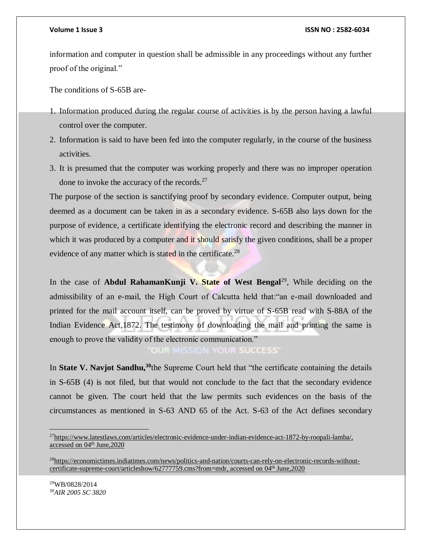information and computer in question shall be admissible in any proceedings without any further proof of the original."

The conditions of S-65B are-

- 1. Information produced during the regular course of activities is by the person having a lawful control over the computer.
- 2. Information is said to have been fed into the computer regularly, in the course of the business activities.
- 3. It is presumed that the computer was working properly and there was no improper operation done to invoke the accuracy of the records. $27$

The purpose of the section is sanctifying proof by secondary evidence. Computer output, being deemed as a document can be taken in as a secondary evidence. S-65B also lays down for the purpose of evidence, a certificate identifying the electronic record and describing the manner in which it was produced by a computer and it should satisfy the given conditions, shall be a proper evidence of any matter which is stated in the certificate.<sup>28</sup>

In the case of **Abdul RahamanKunji V. State of West Bengal**<sup>29</sup>, While deciding on the admissibility of an e-mail, the High Court of Calcutta held that:"an e-mail downloaded and printed for the mail account itself, can be proved by virtue of S-65B read with S-88A of the Indian Evidence Act, 1872. The testimony of downloading the mail and printing the same is enough to prove the validity of the electronic communication."

OUR MISSION YOUR SUCCESS'

In **State V. Navjot Sandhu,<sup>30</sup>**the Supreme Court held that "the certificate containing the details in S-65B (4) is not filed, but that would not conclude to the fact that the secondary evidence cannot be given. The court held that the law permits such evidences on the basis of the circumstances as mentioned in S-63 AND 65 of the Act. S-63 of the Act defines secondary

<sup>27</sup>[https://www.latestlaws.com/articles/electronic-evidence-under-indian-evidence-act-1872-by-roopali-lamba/,](https://www.latestlaws.com/articles/electronic-evidence-under-indian-evidence-act-1872-by-roopali-lamba/) accessed on 04th June,2020

<sup>&</sup>lt;sup>28</sup>[https://economictimes.indiatimes.com/news/politics-and-nation/courts-can-rely-on-electronic-records-without](https://economictimes.indiatimes.com/news/politics-and-nation/courts-can-rely-on-electronic-records-without-certificate-supreme-court/articleshow/62777759.cms?from=mdr)[certificate-supreme-court/articleshow/62777759.cms?from=mdr,](https://economictimes.indiatimes.com/news/politics-and-nation/courts-can-rely-on-electronic-records-without-certificate-supreme-court/articleshow/62777759.cms?from=mdr) accessed on 04<sup>th</sup> June,2020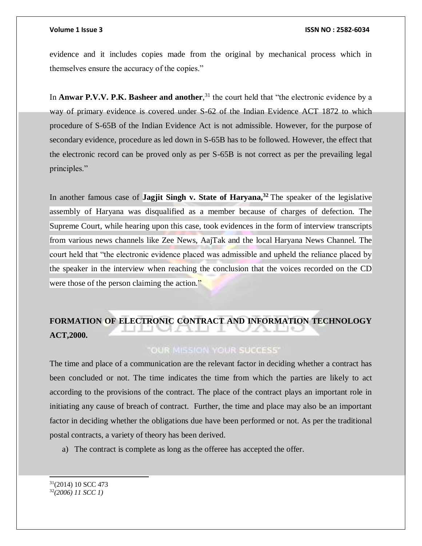evidence and it includes copies made from the original by mechanical process which in themselves ensure the accuracy of the copies."

In **Anwar P.V.V. P.K. Basheer and another**, <sup>31</sup> the court held that "the electronic evidence by a way of primary evidence is covered under S-62 of the Indian Evidence ACT 1872 to which procedure of S-65B of the Indian Evidence Act is not admissible. However, for the purpose of secondary evidence, procedure as led down in S-65B has to be followed. However, the effect that the electronic record can be proved only as per S-65B is not correct as per the prevailing legal principles."

In another famous case of **Jagjit Singh v. State of Haryana,<sup>32</sup>** The speaker of the legislative assembly of Haryana was disqualified as a member because of charges of defection. The Supreme Court, while hearing upon this case, took evidences in the form of interview transcripts from various news channels like Zee News, AajTak and the local Haryana News Channel. The court held that "the electronic evidence placed was admissible and upheld the reliance placed by the speaker in the interview when reaching the conclusion that the voices recorded on the CD were those of the person claiming the action."

# **FORMATION OF ELECTRONIC CONTRACT AND INFORMATION TECHNOLOGY ACT,2000.**

### **OUR MISSION YOUR SUCCESS'**

The time and place of a communication are the relevant factor in deciding whether a contract has been concluded or not. The time indicates the time from which the parties are likely to act according to the provisions of the contract. The place of the contract plays an important role in initiating any cause of breach of contract. Further, the time and place may also be an important factor in deciding whether the obligations due have been performed or not. As per the traditional postal contracts, a variety of theory has been derived.

a) The contract is complete as long as the offeree has accepted the offer.

```
31(2014) 10 SCC 473
32(2006) 11 SCC 1)
```
l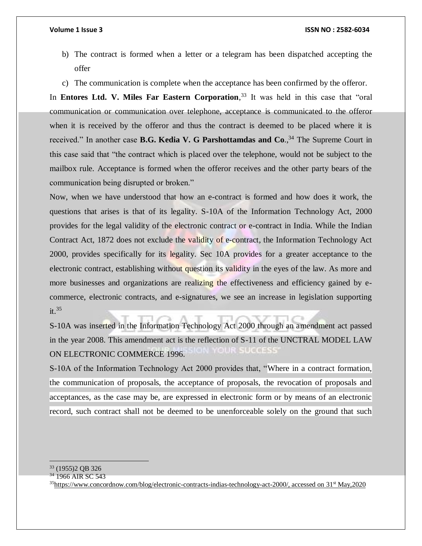- b) The contract is formed when a letter or a telegram has been dispatched accepting the offer
- c) The communication is complete when the acceptance has been confirmed by the offeror.

In **Entores Ltd. V. Miles Far Eastern Corporation**, <sup>33</sup> It was held in this case that "oral communication or communication over telephone, acceptance is communicated to the offeror when it is received by the offeror and thus the contract is deemed to be placed where it is received." In another case **B.G. Kedia V. G Parshottamdas and Co**., <sup>34</sup> The Supreme Court in this case said that "the contract which is placed over the telephone, would not be subject to the mailbox rule. Acceptance is formed when the offeror receives and the other party bears of the communication being disrupted or broken."

Now, when we have understood that how an e-contract is formed and how does it work, the questions that arises is that of its legality. S-10A of the Information Technology Act, 2000 provides for the legal validity of the electronic contract or e-contract in India. While the Indian Contract Act, 1872 does not exclude the validity of e-contract, the Information Technology Act 2000, provides specifically for its legality. Sec 10A provides for a greater acceptance to the electronic contract, establishing without question its validity in the eyes of the law. As more and more businesses and organizations are realizing the effectiveness and efficiency gained by ecommerce, electronic contracts, and e-signatures, we see an increase in legislation supporting  $it.<sup>35</sup>$ 

S-10A was inserted in the Information Technology Act 2000 through an amendment act passed in the year 2008. This amendment act is the reflection of S-11 of the UNCTRAL MODEL LAW ON ELECTRONIC COMMERCE 1996.

S-10A of the Information Technology Act 2000 provides that, "Where in a contract formation, the communication of proposals, the acceptance of proposals, the revocation of proposals and acceptances, as the case may be, are expressed in electronic form or by means of an electronic record, such contract shall not be deemed to be unenforceable solely on the ground that such

 $\overline{a}$ <sup>33</sup> (1955)2 QB 326

<sup>&</sup>lt;sup>34</sup> 1966 AIR SC 543

<sup>35</sup>[https://www.concordnow.com/blog/electronic-contracts-indias-technology-act-2000/,](https://www.concordnow.com/blog/electronic-contracts-indias-technology-act-2000/) accessed on 31st May,2020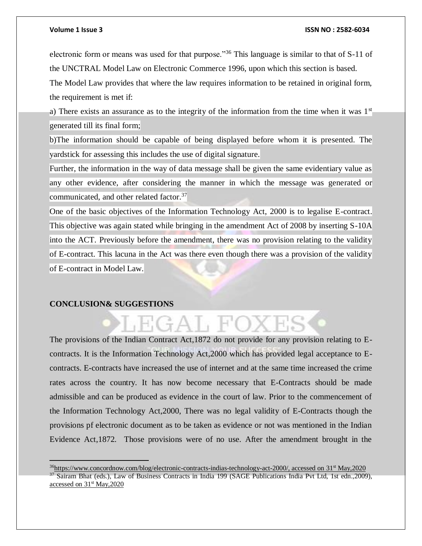electronic form or means was used for that purpose."<sup>36</sup> This language is similar to that of S-11 of the UNCTRAL Model Law on Electronic Commerce 1996, upon which this section is based.

The Model Law provides that where the law requires information to be retained in original form, the requirement is met if:

a) There exists an assurance as to the integrity of the information from the time when it was  $1<sup>st</sup>$ generated till its final form;

b)The information should be capable of being displayed before whom it is presented. The yardstick for assessing this includes the use of digital signature.

Further, the information in the way of data message shall be given the same evidentiary value as any other evidence, after considering the manner in which the message was generated or communicated, and other related factor.<sup>37</sup>

One of the basic objectives of the Information Technology Act, 2000 is to legalise E-contract. This objective was again stated while bringing in the amendment Act of 2008 by inserting S-10A into the ACT. Previously before the amendment, there was no provision relating to the validity of E-contract. This lacuna in the Act was there even though there was a provision of the validity of E-contract in Model Law.

### **CONCLUSION& SUGGESTIONS**

 $\overline{a}$ 

The provisions of the Indian Contract Act,1872 do not provide for any provision relating to Econtracts. It is the Information Technology Act,2000 which has provided legal acceptance to Econtracts. E-contracts have increased the use of internet and at the same time increased the crime rates across the country. It has now become necessary that E-Contracts should be made admissible and can be produced as evidence in the court of law. Prior to the commencement of the Information Technology Act,2000, There was no legal validity of E-Contracts though the provisions pf electronic document as to be taken as evidence or not was mentioned in the Indian Evidence Act,1872. Those provisions were of no use. After the amendment brought in the

GAT FC

<sup>&</sup>lt;sup>36</sup>[https://www.concordnow.com/blog/electronic-contracts-indias-technology-act-2000/,](https://www.concordnow.com/blog/electronic-contracts-indias-technology-act-2000/) accessed on 31<sup>st</sup> May,2020 <sup>37</sup> Sairam Bhat (eds.), Law of Business Contracts in India 199 (SAGE Publications India Pvt Ltd, 1st edn.,2009), accessed on 31<sup>st</sup> May, 2020